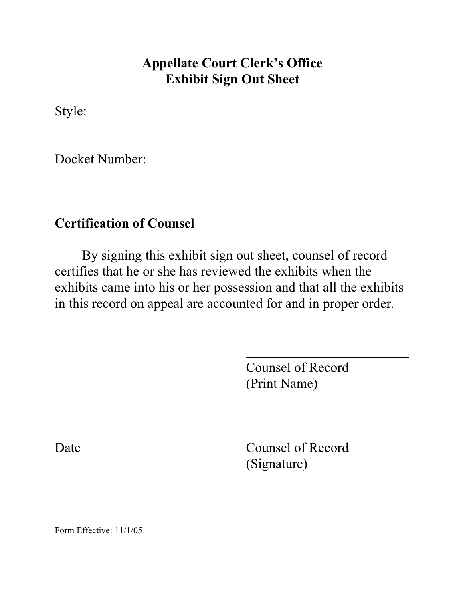## **Appellate Court Clerk's Office Exhibit Sign Out Sheet**

Style:

Docket Number:

## **Certification of Counsel**

By signing this exhibit sign out sheet, counsel of record certifies that he or she has reviewed the exhibits when the exhibits came into his or her possession and that all the exhibits in this record on appeal are accounted for and in proper order.

l

Counsel of Record (Print Name)

l

Date Counsel of Record (Signature)

Form Effective: 11/1/05